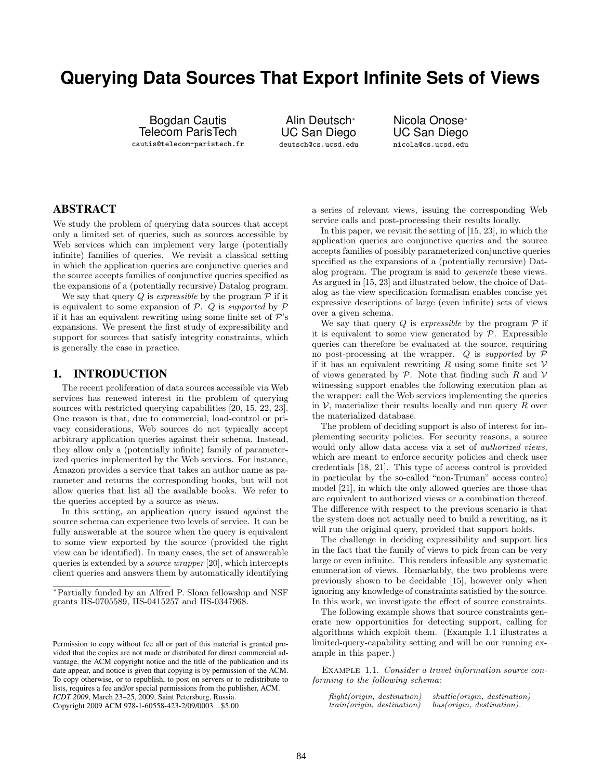# **Querying Data Sources That Export Infinite Sets of Views**

Bogdan Cautis Telecom ParisTech cautis@telecom-paristech.fr

Alin Deutsch<sup>∗</sup> UC San Diego deutsch@cs.ucsd.edu Nicola Onose<sup>∗</sup> UC San Diego nicola@cs.ucsd.edu

# ABSTRACT

We study the problem of querying data sources that accept only a limited set of queries, such as sources accessible by Web services which can implement very large (potentially infinite) families of queries. We revisit a classical setting in which the application queries are conjunctive queries and the source accepts families of conjunctive queries specified as the expansions of a (potentially recursive) Datalog program.

We say that query Q is *expressible* by the program  $P$  if it is equivalent to some expansion of  $P$ . Q is supported by  $P$ if it has an equivalent rewriting using some finite set of  $\mathcal{P}$ 's expansions. We present the first study of expressibility and support for sources that satisfy integrity constraints, which is generally the case in practice.

### 1. INTRODUCTION

The recent proliferation of data sources accessible via Web services has renewed interest in the problem of querying sources with restricted querying capabilities [20, 15, 22, 23]. One reason is that, due to commercial, load-control or privacy considerations, Web sources do not typically accept arbitrary application queries against their schema. Instead, they allow only a (potentially infinite) family of parameterized queries implemented by the Web services. For instance, Amazon provides a service that takes an author name as parameter and returns the corresponding books, but will not allow queries that list all the available books. We refer to the queries accepted by a source as views.

In this setting, an application query issued against the source schema can experience two levels of service. It can be fully answerable at the source when the query is equivalent to some view exported by the source (provided the right view can be identified). In many cases, the set of answerable queries is extended by a source wrapper [20], which intercepts client queries and answers them by automatically identifying

Copyright 2009 ACM 978-1-60558-423-2/09/0003 ...\$5.00

a series of relevant views, issuing the corresponding Web service calls and post-processing their results locally.

In this paper, we revisit the setting of [15, 23], in which the application queries are conjunctive queries and the source accepts families of possibly parameterized conjunctive queries specified as the expansions of a (potentially recursive) Datalog program. The program is said to generate these views. As argued in [15, 23] and illustrated below, the choice of Datalog as the view specification formalism enables concise yet expressive descriptions of large (even infinite) sets of views over a given schema.

We say that query  $Q$  is *expressible* by the program  $P$  if it is equivalent to some view generated by  $P$ . Expressible queries can therefore be evaluated at the source, requiring no post-processing at the wrapper.  $Q$  is supported by  $P$ if it has an equivalent rewriting R using some finite set  $\mathcal V$ of views generated by  $P$ . Note that finding such R and V witnessing support enables the following execution plan at the wrapper: call the Web services implementing the queries in  $\mathcal V$ , materialize their results locally and run query R over the materialized database.

The problem of deciding support is also of interest for implementing security policies. For security reasons, a source would only allow data access via a set of authorized views, which are meant to enforce security policies and check user credentials [18, 21]. This type of access control is provided in particular by the so-called "non-Truman" access control model [21], in which the only allowed queries are those that are equivalent to authorized views or a combination thereof. The difference with respect to the previous scenario is that the system does not actually need to build a rewriting, as it will run the original query, provided that support holds.

The challenge in deciding expressibility and support lies in the fact that the family of views to pick from can be very large or even infinite. This renders infeasible any systematic enumeration of views. Remarkably, the two problems were previously shown to be decidable [15], however only when ignoring any knowledge of constraints satisfied by the source. In this work, we investigate the effect of source constraints.

The following example shows that source constraints generate new opportunities for detecting support, calling for algorithms which exploit them. (Example 1.1 illustrates a limited-query-capability setting and will be our running example in this paper.)

Example 1.1. Consider a travel information source conforming to the following schema:

| $\text{flight}(\text{origin}, \text{destination})$ | shuttle(origin, destination) |  |
|----------------------------------------------------|------------------------------|--|
| train(origin, destination)                         | bus(origin, destination).    |  |

<sup>∗</sup>Partially funded by an Alfred P. Sloan fellowship and NSF grants IIS-0705589, IIS-0415257 and IIS-0347968.

Permission to copy without fee all or part of this material is granted provided that the copies are not made or distributed for direct commercial advantage, the ACM copyright notice and the title of the publication and its date appear, and notice is given that copying is by permission of the ACM. To copy otherwise, or to republish, to post on servers or to redistribute to lists, requires a fee and/or special permissions from the publisher, ACM. *ICDT 2009*, March 23–25, 2009, Saint Petersburg, Russia.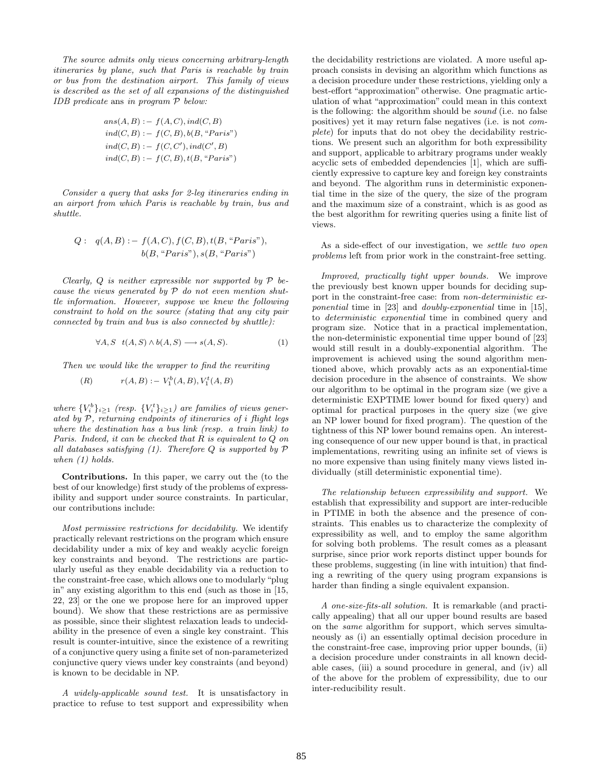The source admits only views concerning arbitrary-length itineraries by plane, such that Paris is reachable by train or bus from the destination airport. This family of views is described as the set of all expansions of the distinguished IDB predicate ans in program P below:

$$
ans(A, B) := f(A, C), ind(C, B)
$$
  

$$
ind(C, B) := f(C, B), b(B, "Paris")
$$
  

$$
ind(C, B) := f(C, C'), ind(C', B)
$$
  

$$
ind(C, B) := f(C, B), t(B, "Paris")
$$

Consider a query that asks for 2-leg itineraries ending in an airport from which Paris is reachable by train, bus and shuttle.

$$
Q: q(A, B) := f(A, C), f(C, B), t(B, "Paris"),
$$
  

$$
b(B, "Paris"), s(B, "Paris")
$$

Clearly,  $Q$  is neither expressible nor supported by  $\mathcal P$  because the views generated by  $P$  do not even mention shuttle information. However, suppose we knew the following constraint to hold on the source (stating that any city pair connected by train and bus is also connected by shuttle):

$$
\forall A, S \ t(A, S) \land b(A, S) \longrightarrow s(A, S). \tag{1}
$$

Then we would like the wrapper to find the rewriting

$$
(R) \t r(A, B) : - V_1^b(A, B), V_1^t(A, B)
$$

where  $\{V_i^b\}_{i\geq 1}$  (resp.  $\{V_i^t\}_{i\geq 1}$ ) are families of views generated by  $P$ , returning endpoints of itineraries of i flight legs where the destination has a bus link (resp. a train link) to Paris. Indeed, it can be checked that  $R$  is equivalent to  $Q$  on all databases satisfying  $(1)$ . Therefore Q is supported by  $\mathcal P$ when (1) holds.

Contributions. In this paper, we carry out the (to the best of our knowledge) first study of the problems of expressibility and support under source constraints. In particular, our contributions include:

Most permissive restrictions for decidability. We identify practically relevant restrictions on the program which ensure decidability under a mix of key and weakly acyclic foreign key constraints and beyond. The restrictions are particularly useful as they enable decidability via a reduction to the constraint-free case, which allows one to modularly "plug in" any existing algorithm to this end (such as those in [15, 22, 23] or the one we propose here for an improved upper bound). We show that these restrictions are as permissive as possible, since their slightest relaxation leads to undecidability in the presence of even a single key constraint. This result is counter-intuitive, since the existence of a rewriting of a conjunctive query using a finite set of non-parameterized conjunctive query views under key constraints (and beyond) is known to be decidable in NP.

A widely-applicable sound test. It is unsatisfactory in practice to refuse to test support and expressibility when the decidability restrictions are violated. A more useful approach consists in devising an algorithm which functions as a decision procedure under these restrictions, yielding only a best-effort "approximation" otherwise. One pragmatic articulation of what "approximation" could mean in this context is the following: the algorithm should be sound (i.e. no false positives) yet it may return false negatives (i.e. is not complete) for inputs that do not obey the decidability restrictions. We present such an algorithm for both expressibility and support, applicable to arbitrary programs under weakly acyclic sets of embedded dependencies [1], which are sufficiently expressive to capture key and foreign key constraints and beyond. The algorithm runs in deterministic exponential time in the size of the query, the size of the program and the maximum size of a constraint, which is as good as the best algorithm for rewriting queries using a finite list of views.

As a side-effect of our investigation, we settle two open problems left from prior work in the constraint-free setting.

Improved, practically tight upper bounds. We improve the previously best known upper bounds for deciding support in the constraint-free case: from non-deterministic exponential time in [23] and doubly-exponential time in [15], to deterministic exponential time in combined query and program size. Notice that in a practical implementation, the non-deterministic exponential time upper bound of [23] would still result in a doubly-exponential algorithm. The improvement is achieved using the sound algorithm mentioned above, which provably acts as an exponential-time decision procedure in the absence of constraints. We show our algorithm to be optimal in the program size (we give a deterministic EXPTIME lower bound for fixed query) and optimal for practical purposes in the query size (we give an NP lower bound for fixed program). The question of the tightness of this NP lower bound remains open. An interesting consequence of our new upper bound is that, in practical implementations, rewriting using an infinite set of views is no more expensive than using finitely many views listed individually (still deterministic exponential time).

The relationship between expressibility and support. We establish that expressibility and support are inter-reducible in PTIME in both the absence and the presence of constraints. This enables us to characterize the complexity of expressibility as well, and to employ the same algorithm for solving both problems. The result comes as a pleasant surprise, since prior work reports distinct upper bounds for these problems, suggesting (in line with intuition) that finding a rewriting of the query using program expansions is harder than finding a single equivalent expansion.

A one-size-fits-all solution. It is remarkable (and practically appealing) that all our upper bound results are based on the same algorithm for support, which serves simultaneously as (i) an essentially optimal decision procedure in the constraint-free case, improving prior upper bounds, (ii) a decision procedure under constraints in all known decidable cases, (iii) a sound procedure in general, and (iv) all of the above for the problem of expressibility, due to our inter-reducibility result.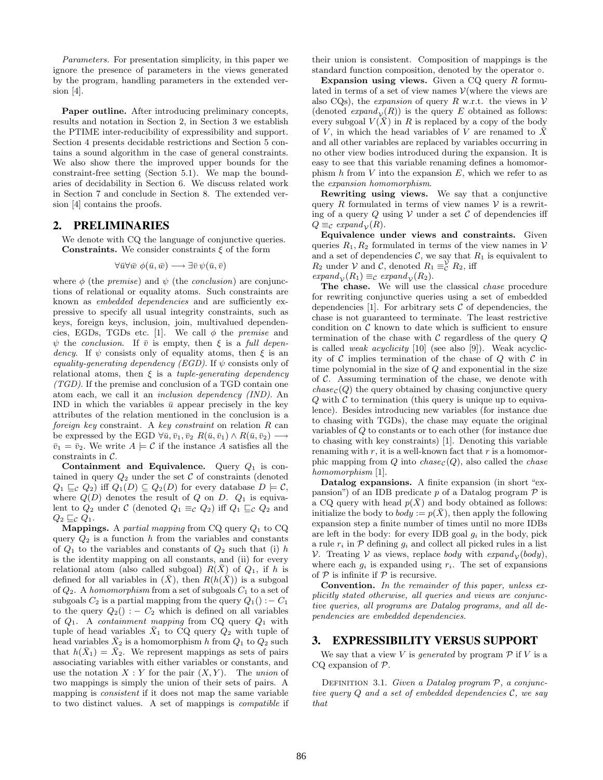Parameters. For presentation simplicity, in this paper we ignore the presence of parameters in the views generated by the program, handling parameters in the extended version [4].

Paper outline. After introducing preliminary concepts, results and notation in Section 2, in Section 3 we establish the PTIME inter-reducibility of expressibility and support. Section 4 presents decidable restrictions and Section 5 contains a sound algorithm in the case of general constraints. We also show there the improved upper bounds for the constraint-free setting (Section 5.1). We map the boundaries of decidability in Section 6. We discuss related work in Section 7 and conclude in Section 8. The extended version [4] contains the proofs.

#### 2. PRELIMINARIES

We denote with CQ the language of conjunctive queries. **Constraints.** We consider constraints  $\xi$  of the form

$$
\forall \bar{u} \forall \bar{w} \; \phi(\bar{u}, \bar{w}) \longrightarrow \exists \bar{v} \; \psi(\bar{u}, \bar{v})
$$

where  $\phi$  (the *premise*) and  $\psi$  (the *conclusion*) are conjunctions of relational or equality atoms. Such constraints are known as embedded dependencies and are sufficiently expressive to specify all usual integrity constraints, such as keys, foreign keys, inclusion, join, multivalued dependencies, EGDs, TGDs etc. [1]. We call  $\phi$  the *premise* and  $\psi$  the conclusion. If  $\bar{v}$  is empty, then  $\xi$  is a full dependency. If  $\psi$  consists only of equality atoms, then  $\xi$  is an equality-generating dependency (EGD). If  $\psi$  consists only of relational atoms, then  $\xi$  is a tuple-generating dependency  $(TGD)$ . If the premise and conclusion of a TGD contain one atom each, we call it an inclusion dependency (IND). An IND in which the variables  $\bar{u}$  appear precisely in the key attributes of the relation mentioned in the conclusion is a foreign key constraint. A key constraint on relation R can be expressed by the EGD  $\forall \bar{u}, \bar{v}_1, \bar{v}_2 \ R(\bar{u}, \bar{v}_1) \wedge R(\bar{u}, \bar{v}_2)$  $\overline{v}_1 = \overline{v}_2$ . We write  $A \models C$  if the instance A satisfies all the constraints in  $\mathcal{C}$ .

Containment and Equivalence. Query  $Q_1$  is contained in query  $Q_2$  under the set  $\mathcal C$  of constraints (denoted  $Q_1 \sqsubseteq_{\mathcal{C}} Q_2$  iff  $Q_1(D) \subseteq Q_2(D)$  for every database  $D \models \mathcal{C}$ , where  $Q(D)$  denotes the result of Q on D.  $Q_1$  is equivalent to  $Q_2$  under C (denoted  $Q_1 \equiv_c Q_2$ ) iff  $Q_1 \sqsubseteq_c Q_2$  and  $Q_2 \sqsubseteq_{\mathcal{C}} Q_1$ .

**Mappings.** A *partial mapping* from CQ query  $Q_1$  to CQ query  $Q_2$  is a function h from the variables and constants of  $Q_1$  to the variables and constants of  $Q_2$  such that (i) h is the identity mapping on all constants, and (ii) for every relational atom (also called subgoal)  $R(\bar{X})$  of  $Q_1$ , if h is defined for all variables in  $(\bar{X})$ , then  $R(h(\bar{X}))$  is a subgoal of  $Q_2$ . A homomorphism from a set of subgoals  $C_1$  to a set of subgoals  $C_2$  is a partial mapping from the query  $Q_1() := C_1$ to the query  $Q_2() := C_2$  which is defined on all variables of  $Q_1$ . A *containment mapping* from CQ query  $Q_1$  with tuple of head variables  $\bar{X}_1$  to CQ query  $Q_2$  with tuple of head variables  $\bar{X}_2$  is a homomorphism h from  $Q_1$  to  $Q_2$  such that  $h(X_1) = X_2$ . We represent mappings as sets of pairs associating variables with either variables or constants, and use the notation  $X: Y$  for the pair  $(X, Y)$ . The union of two mappings is simply the union of their sets of pairs. A mapping is consistent if it does not map the same variable to two distinct values. A set of mappings is compatible if their union is consistent. Composition of mappings is the standard function composition, denoted by the operator  $\circ$ .

Expansion using views. Given a  $CQ$  query R formulated in terms of a set of view names  $\mathcal{V}(\text{where the views are})$ also CQs), the *expansion* of query R w.r.t. the views in  $V$ (denoted  $expand_{\mathcal{V}}(R)$ ) is the query E obtained as follows: every subgoal  $V(X)$  in R is replaced by a copy of the body of  $V$ , in which the head variables of  $V$  are renamed to  $X$ and all other variables are replaced by variables occurring in no other view bodies introduced during the expansion. It is easy to see that this variable renaming defines a homomorphism  $h$  from  $V$  into the expansion  $E$ , which we refer to as the expansion homomorphism.

Rewriting using views. We say that a conjunctive query R formulated in terms of view names  $\mathcal V$  is a rewriting of a query  $Q$  using  $V$  under a set  $C$  of dependencies iff  $Q \equiv_{\mathcal{C}} \text{expand}_{\mathcal{V}}(R).$ 

Equivalence under views and constraints. Given queries  $R_1, R_2$  formulated in terms of the view names in V and a set of dependencies  $\mathcal{C}$ , we say that  $R_1$  is equivalent to  $R_2$  under  $V$  and  $C$ , denoted  $R_1 \equiv_C^V R_2$ , iff  $expand_{\mathcal{V}}(R_1) \equiv_{\mathcal{C}} expand_{\mathcal{V}}(R_2).$ 

The chase. We will use the classical *chase* procedure for rewriting conjunctive queries using a set of embedded dependencies [1]. For arbitrary sets  $C$  of dependencies, the chase is not guaranteed to terminate. The least restrictive condition on  $\mathcal C$  known to date which is sufficient to ensure termination of the chase with  $\mathcal C$  regardless of the query  $Q$ is called *weak acyclicity*  $[10]$  (see also  $[9]$ ). Weak acyclicity of  $\mathcal C$  implies termination of the chase of  $Q$  with  $\mathcal C$  in time polynomial in the size of  $Q$  and exponential in the size of  $C$ . Assuming termination of the chase, we denote with  $chaseC(Q)$  the query obtained by chasing conjunctive query  $Q$  with  $C$  to termination (this query is unique up to equivalence). Besides introducing new variables (for instance due to chasing with TGDs), the chase may equate the original variables of Q to constants or to each other (for instance due to chasing with key constraints) [1]. Denoting this variable renaming with  $r$ , it is a well-known fact that  $r$  is a homomorphic mapping from  $Q$  into  $chase_C(Q)$ , also called the *chase* homomorphism [1].

Datalog expansions. A finite expansion (in short "expansion") of an IDB predicate  $p$  of a Datalog program  $P$  is a CQ query with head  $p(\bar{X})$  and body obtained as follows: initialize the body to *body* :=  $p(X)$ , then apply the following expansion step a finite number of times until no more IDBs are left in the body: for every IDB goal  $g_i$  in the body, pick a rule  $r_i$  in  $P$  defining  $g_i$  and collect all picked rules in a list V. Treating V as views, replace body with  $\exp$ *and*<sub>v</sub> $(body)$ , where each  $g_i$  is expanded using  $r_i$ . The set of expansions of  $P$  is infinite if  $P$  is recursive.

Convention. In the remainder of this paper, unless explicitly stated otherwise, all queries and views are conjunctive queries, all programs are Datalog programs, and all dependencies are embedded dependencies.

#### 3. EXPRESSIBILITY VERSUS SUPPORT

We say that a view  $V$  is *generated* by program  $P$  if  $V$  is a  $CQ$  expansion of  $P$ .

DEFINITION 3.1. Given a Datalog program  $P$ , a conjunctive query  $Q$  and a set of embedded dependencies  $C$ , we say that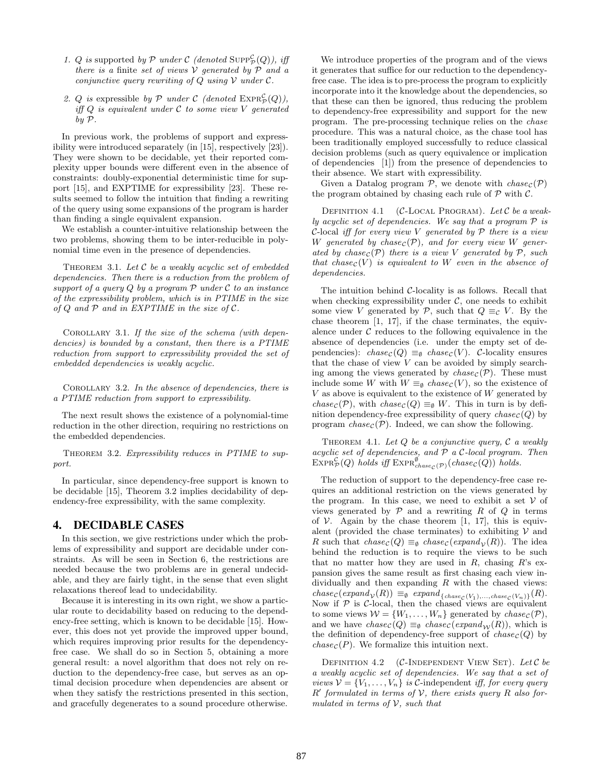- 1. Q is supported by  $P$  under  $C$  (denoted SUPP $^{\mathcal{C}}_{\mathcal{P}}(Q)$ ), iff there is a finite set of views  $V$  generated by  $P$  and a conjunctive query rewriting of  $Q$  using  $V$  under  $C$ .
- 2. Q is expressible by  $P$  under  $C$  (denoted  $\text{EXPR}_{\mathcal{P}}^{\mathcal{C}}(Q)$ ), iff  $Q$  is equivalent under  $C$  to some view  $V$  generated by  $\mathcal P$ .

In previous work, the problems of support and expressibility were introduced separately (in [15], respectively [23]). They were shown to be decidable, yet their reported complexity upper bounds were different even in the absence of constraints: doubly-exponential deterministic time for support [15], and EXPTIME for expressibility [23]. These results seemed to follow the intuition that finding a rewriting of the query using some expansions of the program is harder than finding a single equivalent expansion.

We establish a counter-intuitive relationship between the two problems, showing them to be inter-reducible in polynomial time even in the presence of dependencies.

THEOREM 3.1. Let  $C$  be a weakly acyclic set of embedded dependencies. Then there is a reduction from the problem of support of a query  $Q$  by a program  $P$  under  $C$  to an instance of the expressibility problem, which is in PTIME in the size of  $Q$  and  $P$  and in EXPTIME in the size of  $C$ .

COROLLARY 3.1. If the size of the schema (with dependencies) is bounded by a constant, then there is a PTIME reduction from support to expressibility provided the set of embedded dependencies is weakly acyclic.

COROLLARY 3.2. In the absence of dependencies, there is a PTIME reduction from support to expressibility.

The next result shows the existence of a polynomial-time reduction in the other direction, requiring no restrictions on the embedded dependencies.

THEOREM 3.2. Expressibility reduces in PTIME to support.

In particular, since dependency-free support is known to be decidable [15], Theorem 3.2 implies decidability of dependency-free expressibility, with the same complexity.

#### 4. DECIDABLE CASES

In this section, we give restrictions under which the problems of expressibility and support are decidable under constraints. As will be seen in Section 6, the restrictions are needed because the two problems are in general undecidable, and they are fairly tight, in the sense that even slight relaxations thereof lead to undecidability.

Because it is interesting in its own right, we show a particular route to decidability based on reducing to the dependency-free setting, which is known to be decidable [15]. However, this does not yet provide the improved upper bound, which requires improving prior results for the dependencyfree case. We shall do so in Section 5, obtaining a more general result: a novel algorithm that does not rely on reduction to the dependency-free case, but serves as an optimal decision procedure when dependencies are absent or when they satisfy the restrictions presented in this section, and gracefully degenerates to a sound procedure otherwise.

We introduce properties of the program and of the views it generates that suffice for our reduction to the dependencyfree case. The idea is to pre-process the program to explicitly incorporate into it the knowledge about the dependencies, so that these can then be ignored, thus reducing the problem to dependency-free expressibility and support for the new program. The pre-processing technique relies on the chase procedure. This was a natural choice, as the chase tool has been traditionally employed successfully to reduce classical decision problems (such as query equivalence or implication of dependencies [1]) from the presence of dependencies to their absence. We start with expressibility.

Given a Datalog program  $P$ , we denote with  $chasec(P)$ the program obtained by chasing each rule of  $P$  with  $C$ .

DEFINITION 4.1 (C-LOCAL PROGRAM). Let  $\mathcal C$  be a weakly acyclic set of dependencies. We say that a program  $P$  is C-local iff for every view V generated by  $P$  there is a view W generated by chase $c(\mathcal{P})$ , and for every view W generated by chasec( $P$ ) there is a view V generated by  $P$ , such that chase<sub>C</sub>(V) is equivalent to W even in the absence of dependencies.

The intuition behind  $C$ -locality is as follows. Recall that when checking expressibility under  $\mathcal{C}$ , one needs to exhibit some view V generated by  $\mathcal{P}$ , such that  $Q \equiv_{\mathcal{C}} V$ . By the chase theorem [1, 17], if the chase terminates, the equivalence under  $\mathcal C$  reduces to the following equivalence in the absence of dependencies (i.e. under the empty set of dependencies):  $chase_{\mathcal{C}}(Q) \equiv_{\emptyset} chase_{\mathcal{C}}(V)$ . C-locality ensures that the chase of view  $V$  can be avoided by simply searching among the views generated by  $chaseC(\mathcal{P})$ . These must include some W with  $W \equiv_{\emptyset} \text{chase}_{\mathcal{C}}(V)$ , so the existence of  $V$  as above is equivalent to the existence of  $W$  generated by  $chase_{\mathcal{C}}(\mathcal{P})$ , with  $chase_{\mathcal{C}}(Q) \equiv_{\emptyset} W$ . This in turn is by definition dependency-free expressibility of query  $chaseC(Q)$  by program  $chase_{\mathcal{C}}(\mathcal{P})$ . Indeed, we can show the following.

THEOREM 4.1. Let  $Q$  be a conjunctive query,  $C$  a weakly acyclic set of dependencies, and P a C-local program. Then  $\mathrm{EXPR}_{\mathcal{P}}^{\mathcal{C}}(Q)$  holds iff  $\mathrm{EXPR}_{chase_{\mathcal{C}}(\mathcal{P})}^{\emptyset}(chase_{\mathcal{C}}(Q))$  holds.

The reduction of support to the dependency-free case requires an additional restriction on the views generated by the program. In this case, we need to exhibit a set  $V$  of views generated by  $P$  and a rewriting R of Q in terms of  $V$ . Again by the chase theorem [1, 17], this is equivalent (provided the chase terminates) to exhibiting  $V$  and R such that  $chase_{\mathcal{C}}(Q) \equiv_{\emptyset} chase_{\mathcal{C}}(expand_{\mathcal{V}}(R))$ . The idea behind the reduction is to require the views to be such that no matter how they are used in  $R$ , chasing  $R$ 's expansion gives the same result as first chasing each view individually and then expanding  $R$  with the chased views:  $chase_C(expand_V(R)) \equiv_{\emptyset} expand_{\{chase_C(V_1),...,chase_C(V_n)\}}(R).$ Now if  $P$  is C-local, then the chased views are equivalent to some views  $W = \{W_1, \ldots, W_n\}$  generated by chase $c(\mathcal{P})$ , and we have  $chase_{\mathcal{C}}(Q) \equiv_{\emptyset} chase_{\mathcal{C}}(expand_{\mathcal{W}}(R))$ , which is the definition of dependency-free support of  $chase_{\mathcal{C}}(Q)$  by *chase<sub>C</sub>*( $P$ ). We formalize this intuition next.

DEFINITION 4.2 (C-INDEPENDENT VIEW SET). Let  $\mathcal C$  be a weakly acyclic set of dependencies. We say that a set of views  $V = \{V_1, \ldots, V_n\}$  is C-independent iff, for every query  $R'$  formulated in terms of  $V$ , there exists query  $R$  also formulated in terms of  $V$ , such that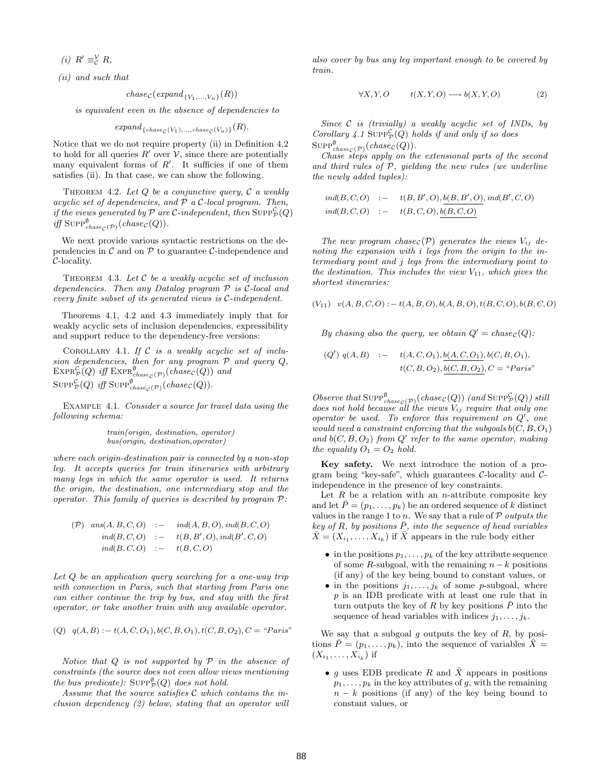(i)  $R' \equiv_{\mathcal{C}}^{\mathcal{V}} R$ ,

(ii) and such that

 $chase_{\mathcal{C}}(expand_{\{V_1,...,V_n\}}(R))$ 

is equivalent even in the absence of dependencies to

$$
expand_{\{chase_{\mathcal{C}}(V_1),...,chase_{\mathcal{C}}(V_n)\}}(R)
$$

Notice that we do not require property (ii) in Definition 4.2 to hold for all queries  $R'$  over  $V$ , since there are potentially many equivalent forms of  $R'$ . It sufficies if one of them satisfies (ii). In that case, we can show the following.

THEOREM 4.2. Let  $Q$  be a conjunctive query,  $C$  a weakly acyclic set of dependencies, and  $P$  a  $C$ -local program. Then, if the views generated by  $P$  are  $C$ -independent, then  $\text{Supp}_\mathcal{P}^\mathcal{C}(Q)$ iff  $\text{Supp}_{\text{chase}_{\mathcal{C}}(\mathcal{P})}^{\emptyset}(\text{chase}_{\mathcal{C}}(Q)).$ 

We next provide various syntactic restrictions on the dependencies in  $\mathcal C$  and on  $\mathcal P$  to guarantee  $\mathcal C$ -independence and C-locality.

THEOREM 4.3. Let  $C$  be a weakly acyclic set of inclusion dependencies. Then any Datalog program P is C-local and every finite subset of its generated views is C-independent.

Theorems 4.1, 4.2 and 4.3 immediately imply that for weakly acyclic sets of inclusion dependencies, expressibility and support reduce to the dependency-free versions:

COROLLARY 4.1. If  $C$  is a weakly acyclic set of inclusion dependencies, then for any program  $P$  and query  $Q$ ,  $\mathrm{EXPR}_{\mathcal{P}}^{\mathcal{C}}(Q)$  iff  $\mathrm{EXPR}_{chase_{\mathcal{C}}(\mathcal{P})}^{\emptyset}(chase_{\mathcal{C}}(Q))$  and  $\text{Supp}_{\mathcal{P}}^{\mathcal{C}}(Q)$  iff  $\text{Supp}_{\text{chase}_{\mathcal{C}}(\mathcal{P})}^{\emptyset}(\text{chase}_{\mathcal{C}}(Q)).$ 

EXAMPLE 4.1. Consider a source for travel data using the following schema:

> train(origin, destination, operator) bus(origin, destination,operator)

where each origin-destination pair is connected by a non-stop leg. It accepts queries for train itineraries with arbitrary many legs in which the same operator is used. It returns the origin, the destination, one intermediary stop and the operator. This family of queries is described by program  $P$ :

$$
(P) \quad ans(A, B, C, O) \quad := \quad ind(A, B, O), ind(B, C, O) \nind(B, C, O) \quad := \quad t(B, B', O), ind(B', C, O) \nind(B, C, O) \quad := \quad t(B, C, O)
$$

Let Q be an application query searching for a one-way trip with connection in Paris, such that starting from Paris one can either continue the trip by bus, and stay with the first operator, or take another train with any available operator.

(Q) 
$$
q(A, B) := t(A, C, O_1), b(C, B, O_1), t(C, B, O_2), C = "Paris"
$$

Notice that  $Q$  is not supported by  $P$  in the absence of constraints (the source does not even allow views mentioning the bus predicate):  $\text{Supp}_{\mathcal{P}}^{\emptyset}(Q)$  does not hold.

Assume that the source satisfies  $C$  which contains the inclusion dependency (2) below, stating that an operator will also cover by bus any leg important enough to be covered by train.

$$
\forall X, Y, O \qquad t(X, Y, O) \longrightarrow b(X, Y, O) \tag{2}
$$

Since  $C$  is (trivially) a weakly acyclic set of INDs, by Corollary 4.1 SUPP $_{\mathcal{P}}^{\mathcal{C}}(Q)$  holds if and only if so does  $\text{Supp}_{\text{chase}_{\mathcal{C}}(\mathcal{P})}^{\emptyset}(\text{chase}_{\mathcal{C}}(Q)).$ 

Chase steps apply on the extensional parts of the second and third rules of P, yielding the new rules (we underline the newly added tuples):

$$
ind(B, C, O) \quad := \quad t(B, B', O), \underline{b(B, B', O)}, \, ind(B', C, O)
$$
  

$$
ind(B, C, O) \quad := \quad t(B, C, O), \underline{b(B, C, O)}
$$

The new program chase  $c(\mathcal{P})$  generates the views  $V_{ij}$  denoting the expansion with i legs from the origin to the intermediary point and j legs from the intermediary point to the destination. This includes the view  $V_{11}$ , which gives the shortest itineraries:

$$
(V_{11}) \quad v(A, B, C, O) := t(A, B, O), b(A, B, O), t(B, C, O), b(B, C, O)
$$

By chasing also the query, we obtain  $Q' = \text{chase}_\mathcal{C}(Q)$ :

$$
(Q') q(A, B) := t(A, C, O_1), b(A, C, O_1), b(C, B, O_1),
$$
  

$$
t(C, B, O_2), b(C, B, O_2), C = "Paris"
$$

Observe that  $\text{Supp}_{chase_C(\mathcal{P})}^{\emptyset}(\text{chase}_C(Q))$  (and  $\text{Supp}_{\mathcal{P}}^{\mathcal{C}}(Q))$  still does not hold because all the views  $V_{ij}$  require that only one operator be used. To enforce this requirement on  $Q'$ , one would need a constraint enforcing that the subgoals  $b(C, B, O_1)$ and  $b(C, B, O_2)$  from  $Q'$  refer to the same operator, making the equality  $O_1 = O_2$  hold.

Key safety. We next introduce the notion of a program being "key-safe", which guarantees  $C$ -locality and  $C$ independence in the presence of key constraints.

Let  $R$  be a relation with an *n*-attribute composite key and let  $\bar{P}=(p_1,\ldots,p_k)$  be an ordered sequence of k distinct values in the range 1 to n. We say that a rule of  $P$  outputs the key of R, by positions  $\bar{P}$ , into the sequence of head variables  $\bar{X} = (X_{i_1}, \ldots, X_{i_k})$  if  $\bar{X}$  appears in the rule body either

- in the positions  $p_1, \ldots, p_k$  of the key attribute sequence of some R-subgoal, with the remaining  $n - k$  positions (if any) of the key being bound to constant values, or
- in the positions  $j_1, \ldots, j_k$  of some *p*-subgoal, where p is an IDB predicate with at least one rule that in turn outputs the key of R by key positions  $\bar{P}$  into the sequence of head variables with indices  $j_1, \ldots, j_k$ .

We say that a subgoal  $g$  outputs the key of  $R$ , by positions  $\bar{P} = (p_1, \ldots, p_k)$ , into the sequence of variables  $\bar{X} =$  $(X_{i_1},\ldots,X_{i_k})$  if

• g uses EDB predicate R and  $\overline{X}$  appears in positions  $p_1, \ldots, p_k$  in the key attributes of g, with the remaining  $n - k$  positions (if any) of the key being bound to constant values, or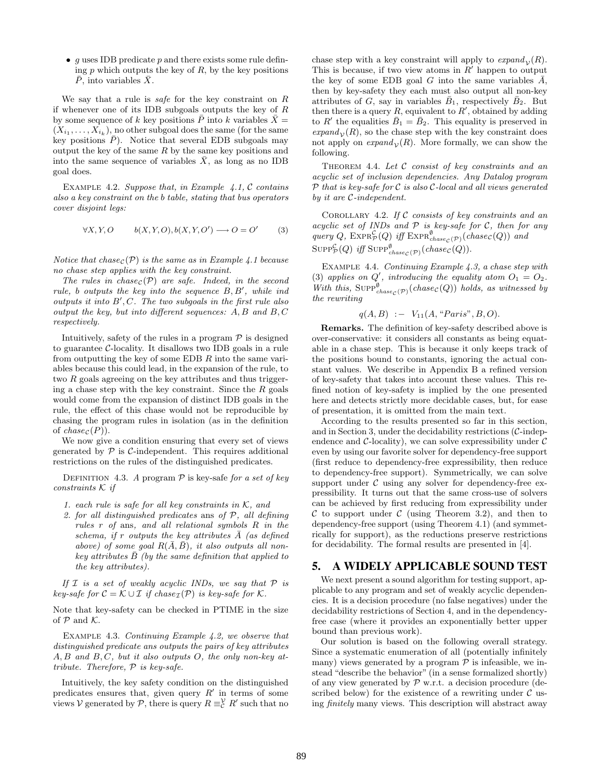•  $q$  uses IDB predicate  $p$  and there exists some rule defining  $p$  which outputs the key of  $R$ , by the key positions  $\bar{P}$ , into variables  $\bar{X}$ .

We say that a rule is *safe* for the key constraint on  $R$ if whenever one of its IDB subgoals outputs the key of  $R$ by some sequence of k key positions  $\overline{P}$  into k variables  $\overline{X}$  =  $(X_{i_1},\ldots,X_{i_k}),$  no other subgoal does the same (for the same key positions  $\overline{P}$ ). Notice that several EDB subgoals may output the key of the same  $R$  by the same key positions and into the same sequence of variables  $\bar{X}$ , as long as no IDB goal does.

EXAMPLE 4.2. Suppose that, in Example 4.1,  $\mathcal C$  contains also a key constraint on the b table, stating that bus operators cover disjoint legs:

$$
\forall X, Y, O \qquad b(X, Y, O), b(X, Y, O') \longrightarrow O = O' \qquad (3)
$$

Notice that chase $_{\mathcal{C}}(\mathcal{P})$  is the same as in Example 4.1 because no chase step applies with the key constraint.

The rules in chase<sub>C</sub>(P) are safe. Indeed, in the second rule, b outputs the key into the sequence  $B, B'$ , while ind outputs it into  $B', C$ . The two subgoals in the first rule also output the key, but into different sequences: A, B and B, C respectively.

Intuitively, safety of the rules in a program  $P$  is designed to guarantee C-locality. It disallows two IDB goals in a rule from outputting the key of some EDB  $R$  into the same variables because this could lead, in the expansion of the rule, to two R goals agreeing on the key attributes and thus triggering a chase step with the key constraint. Since the  $R$  goals would come from the expansion of distinct IDB goals in the rule, the effect of this chase would not be reproducible by chasing the program rules in isolation (as in the definition of  $chase<sub>C</sub>(P)$ ).

We now give a condition ensuring that every set of views generated by  $\mathcal P$  is  $\mathcal C$ -independent. This requires additional restrictions on the rules of the distinguished predicates.

DEFINITION 4.3. A program  $P$  is key-safe for a set of key  $constraints K if$ 

- 1. each rule is safe for all key constraints in  $K$ , and
- 2. for all distinguished predicates ans of P, all defining rules r of ans, and all relational symbols R in the schema, if r outputs the key attributes  $\overline{A}$  (as defined above) of some goal  $R(\bar{A}, \bar{B})$ , it also outputs all nonkey attributes  $\bar{B}$  (by the same definition that applied to the key attributes).

If  $I$  is a set of weakly acyclic INDs, we say that  $P$  is key-safe for  $C = \mathcal{K} \cup \mathcal{I}$  if chase $\mathcal{I}(\mathcal{P})$  is key-safe for  $\mathcal{K}$ .

Note that key-safety can be checked in PTIME in the size of  $P$  and  $K$ .

EXAMPLE 4.3. Continuing Example 4.2, we observe that distinguished predicate ans outputs the pairs of key attributes A, B and B, C, but it also outputs O, the only non-key attribute. Therefore, P is key-safe.

Intuitively, the key safety condition on the distinguished predicates ensures that, given query  $R'$  in terms of some views V generated by  $P$ , there is query  $R \equiv_C^{\mathcal{V}} R'$  such that no

chase step with a key constraint will apply to  $\mathit{expand}_{\mathcal{D}}(R)$ . This is because, if two view atoms in  $R'$  happen to output the key of some EDB goal G into the same variables  $\bar{A}$ , then by key-safety they each must also output all non-key attributes of G, say in variables  $\bar{B}_1$ , respectively  $\bar{B}_2$ . But then there is a query  $R$ , equivalent to  $R'$ , obtained by adding to R' the equalities  $\bar{B}_1 = \bar{B}_2$ . This equality is preserved in  $expand_{\mathcal{V}}(R)$ , so the chase step with the key constraint does not apply on  $expand_v(R)$ . More formally, we can show the following.

THEOREM 4.4. Let  $C$  consist of key constraints and an acyclic set of inclusion dependencies. Any Datalog program  $P$  that is key-safe for C is also C-local and all views generated by it are C-independent.

COROLLARY 4.2. If  $C$  consists of key constraints and an acyclic set of INDs and  $P$  is key-safe for  $C$ , then for any query Q,  $\text{EXPR}_{\mathcal{P}}^{\mathcal{C}}(Q)$  iff  $\text{EXPR}_{chase_{\mathcal{C}}(\mathcal{P})}^{\emptyset}(chase_{\mathcal{C}}(Q))$  and  $\text{Supp}_{\mathcal{P}}^{\mathcal{C}}(Q)$  iff  $\text{Supp}_{\text{chase}_{\mathcal{C}}(\mathcal{P})}^{\emptyset}(\text{chase}_{\mathcal{C}}(Q)).$ 

Example 4.4. Continuing Example 4.3, a chase step with (3) applies on  $Q'$ , introducing the equality atom  $O_1 = O_2$ . With this,  $\text{Supp}^{\emptyset}_{\text{chase}_{\mathcal{C}}(\mathcal{P})}(\text{chase}_{\mathcal{C}}(Q))$  holds, as witnessed by the rewriting

$$
q(A, B) := V_{11}(A, "Paris", B, O).
$$

Remarks. The definition of key-safety described above is over-conservative: it considers all constants as being equatable in a chase step. This is because it only keeps track of the positions bound to constants, ignoring the actual constant values. We describe in Appendix B a refined version of key-safety that takes into account these values. This refined notion of key-safety is implied by the one presented here and detects strictly more decidable cases, but, for ease of presentation, it is omitted from the main text.

According to the results presented so far in this section, and in Section 3, under the decidability restrictions  $(C$ -independence and  $\mathcal{C}$ -locality), we can solve expressibility under  $\mathcal{C}$ even by using our favorite solver for dependency-free support (first reduce to dependency-free expressibility, then reduce to dependency-free support). Symmetrically, we can solve support under  $\mathcal C$  using any solver for dependency-free expressibility. It turns out that the same cross-use of solvers can be achieved by first reducing from expressibility under  $\mathcal C$  to support under  $\mathcal C$  (using Theorem 3.2), and then to dependency-free support (using Theorem 4.1) (and symmetrically for support), as the reductions preserve restrictions for decidability. The formal results are presented in [4].

#### 5. A WIDELY APPLICABLE SOUND TEST

We next present a sound algorithm for testing support, applicable to any program and set of weakly acyclic dependencies. It is a decision procedure (no false negatives) under the decidability restrictions of Section 4, and in the dependencyfree case (where it provides an exponentially better upper bound than previous work).

Our solution is based on the following overall strategy. Since a systematic enumeration of all (potentially infinitely many) views generated by a program  $P$  is infeasible, we instead "describe the behavior" (in a sense formalized shortly) of any view generated by  $P$  w.r.t. a decision procedure (described below) for the existence of a rewriting under  $\mathcal C$  using finitely many views. This description will abstract away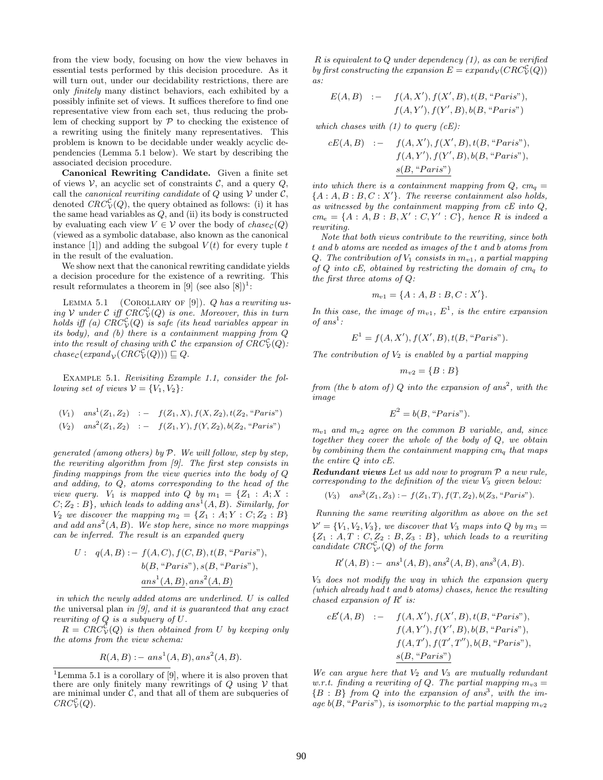from the view body, focusing on how the view behaves in essential tests performed by this decision procedure. As it will turn out, under our decidability restrictions, there are only finitely many distinct behaviors, each exhibited by a possibly infinite set of views. It suffices therefore to find one representative view from each set, thus reducing the problem of checking support by  $P$  to checking the existence of a rewriting using the finitely many representatives. This problem is known to be decidable under weakly acyclic dependencies (Lemma 5.1 below). We start by describing the associated decision procedure.

Canonical Rewriting Candidate. Given a finite set of views  $V$ , an acyclic set of constraints  $C$ , and a query  $Q$ , call the *canonical rewriting candidate* of  $Q$  using  $V$  under  $C$ , denoted  $CRC^{\mathcal{C}}_{\mathcal{V}}(Q)$ , the query obtained as follows: (i) it has the same head variables as  $Q$ , and (ii) its body is constructed by evaluating each view  $V \in V$  over the body of  $chase_{\mathcal{C}}(Q)$ (viewed as a symbolic database, also known as the canonical instance [1]) and adding the subgoal  $V(t)$  for every tuple t in the result of the evaluation.

We show next that the canonical rewriting candidate yields a decision procedure for the existence of a rewriting. This result reformulates a theorem in [9] (see also  $[8]$ )<sup>1</sup>:

LEMMA 5.1 (COROLLARY OF [9]). Q has a rewriting using V under  $C$  iff  $CRC_V^C(Q)$  is one. Moreover, this in turn holds iff (a)  $CRC_V^C(Q)$  is safe (its head variables appear in its body), and (b) there is a containment mapping from Q into the result of chasing with  $\mathcal C$  the expansion of  $CRC^{\mathcal C}_{\mathcal V}(Q)$ :  $chase_{\mathcal{C}}(expand_{\mathcal{V}}(CRC^{\mathcal{C}}_{\mathcal{V}}(Q))) \sqsubseteq Q.$ 

Example 5.1. Revisiting Example 1.1, consider the following set of views  $V = \{V_1, V_2\}$ :

$$
(V_1) \quad ans^1(Z_1, Z_2) \quad : - \quad f(Z_1, X), f(X, Z_2), t(Z_2, "Paris")
$$

$$
(V_2) \quad ans^2(Z_1, Z_2) \quad : - \quad f(Z_1, Y), f(Y, Z_2), b(Z_2, "Paris")
$$

generated (among others) by  $P$ . We will follow, step by step, the rewriting algorithm from [9]. The first step consists in finding mappings from the view queries into the body of Q and adding, to Q, atoms corresponding to the head of the view query.  $V_1$  is mapped into Q by  $m_1 = \{Z_1 : A; X :$  $C; Z_2 : B$ , which leads to adding ans  $(A, B)$ . Similarly, for  $V_2$  we discover the mapping  $m_2 = \{Z_1 : A; Y : C; Z_2 : B\}$ and add ans<sup>2</sup> $(A, B)$ . We stop here, since no more mappings can be inferred. The result is an expanded query

$$
U: q(A, B) := f(A, C), f(C, B), t(B, "Paris"),
$$
  
\n
$$
b(B, "Paris"), s(B, "Paris"),
$$
  
\n
$$
ans1(A, B), ans2(A, B)
$$

in which the newly added atoms are underlined. U is called the universal plan in  $[9]$ , and it is guaranteed that any exact rewriting of  $Q$  is a subquery of  $U$ .

 $R = \text{CRC}^{\mathcal{C}}_{\mathcal{V}}(Q)$  is then obtained from U by keeping only the atoms from the view schema:

$$
R(A, B) := ans1(A, B), ans2(A, B).
$$

 $R$  is equivalent to  $Q$  under dependency  $(1)$ , as can be verified by first constructing the expansion  $E = expand_{\mathcal{V}}(CRC^{\mathcal{C}}_{\mathcal{V}}(Q))$  $as:$ 

$$
E(A, B) \quad := \quad f(A, X'), f(X', B), t(B, \text{``Paris''}), \\
 f(A, Y'), f(Y', B), b(B, \text{``Paris''})
$$

which chases with  $(1)$  to query  $(cE)$ :

$$
cE(A, B) := f(A, X'), f(X', B), t(B, "Paris"),f(A, Y'), f(Y', B), b(B, "Paris"),s(B, "Paris")
$$

into which there is a containment mapping from  $Q$ ,  $cm_q =$  ${A : A, B : B, C : X'}$ . The reverse containment also holds, as witnessed by the containment mapping from  $cE$  into  $Q$ ,  $cm_e = \{A : A, B : B, X' : C, Y' : C\}$ , hence R is indeed a rewriting.

Note that both views contribute to the rewriting, since both t and b atoms are needed as images of the t and b atoms from Q. The contribution of  $V_1$  consists in  $m_{v1}$ , a partial mapping of Q into cE, obtained by restricting the domain of  $cm<sub>a</sub>$  to the first three atoms of  $Q$ :

$$
m_{v1} = \{A : A, B : B, C : X'\}.
$$

In this case, the image of  $m_{v1}$ ,  $E^1$ , is the entire expansion of  $ans^1$ :

$$
E^{1} = f(A, X'), f(X', B), t(B, "Paris").
$$

The contribution of  $V_2$  is enabled by a partial mapping

$$
m_{v2} = \{B : B\}
$$

from (the b atom of) Q into the expansion of ans<sup>2</sup>, with the image

$$
E^2 = b(B, "Paris").
$$

 $m_{v1}$  and  $m_{v2}$  agree on the common B variable, and, since together they cover the whole of the body of Q, we obtain by combining them the containment mapping  $cm<sub>g</sub>$  that maps the entire Q into cE.

 $\textit{Redundant views}$  Let us add now to program  $P$  a new rule, corresponding to the definition of the view  $V_3$  given below:

 $(V_3)$  ans<sup>3</sup> $(Z_1, Z_3)$ : -  $f(Z_1, T), f(T, Z_2), b(Z_3, "Paris").$ 

Running the same rewriting algorithm as above on the set  $\mathcal{V}' = \{V_1, V_2, V_3\}$ , we discover that  $V_3$  maps into Q by  $m_3 =$  $\{Z_1: A, T: C, Z_2: B, Z_3: B\}$ , which leads to a rewriting candidate  $CRC_{\mathcal{V}'}^{\mathcal{C}}(Q)$  of the form

$$
R'(A, B) := ans^1(A, B), ans^2(A, B), ans^3(A, B).
$$

 $V_3$  does not modify the way in which the expansion query (which already had t and b atoms) chases, hence the resulting chased expansion of  $R'$  is:

$$
cE'(A, B) := f(A, X'), f(X', B), t(B, "Paris"),f(A, Y'), f(Y', B), b(B, "Paris"),f(A, T'), f(T', T''), b(B, "Paris"),s(B, "Paris")
$$

We can argue here that  $V_2$  and  $V_3$  are mutually redundant w.r.t. finding a rewriting of Q. The partial mapping  $m_{v3} =$  ${B : B}$  from Q into the expansion of ans<sup>3</sup>, with the image  $b(B, "Paris")$ , is isomorphic to the partial mapping  $m_{v2}$ 

<sup>&</sup>lt;sup>1</sup>Lemma 5.1 is a corollary of  $[9]$ , where it is also proven that there are only finitely many rewritings of  $Q$  using  $\mathcal V$  that are minimal under  $C$ , and that all of them are subqueries of  $CRC^{\mathcal{C}}_{\mathcal{V}}(Q)$ .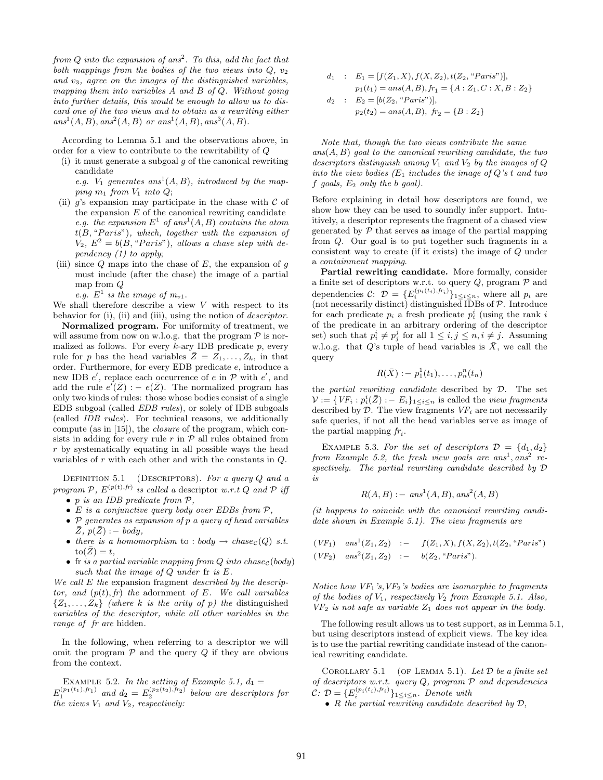from Q into the expansion of ans<sup>2</sup>. To this, add the fact that both mappings from the bodies of the two views into  $Q, v_2$ and v3, agree on the images of the distinguished variables, mapping them into variables A and B of Q. Without going into further details, this would be enough to allow us to discard one of the two views and to obtain as a rewriting either  $ans<sup>1</sup>(A, B)$ ,  $ans<sup>2</sup>(A, B)$  or  $ans<sup>1</sup>(A, B)$ ,  $ans<sup>3</sup>(A, B)$ .

According to Lemma 5.1 and the observations above, in order for a view to contribute to the rewritability of Q

(i) it must generate a subgoal  $q$  of the canonical rewriting candidate

e.g.  $V_1$  generates ans<sup>1</sup> $(A, B)$ , introduced by the mapping  $m_1$  from  $V_1$  into  $Q$ ;

- (ii)  $q$ 's expansion may participate in the chase with  $\mathcal C$  of the expansion  $E$  of the canonical rewriting candidate e.g. the expansion  $E^1$  of ans<sup>1</sup> $(A, B)$  contains the atom  $t(B, "Paris")$ , which, together with the expansion of  $V_2, E^2 = b(B, "Paris")$ , allows a chase step with dependency  $(1)$  to apply;
- (iii) since  $Q$  maps into the chase of  $E$ , the expansion of  $q$ must include (after the chase) the image of a partial map from Q
	- e.g.  $E^1$  is the image of  $m_{v1}$ .

We shall therefore describe a view  $V$  with respect to its behavior for (i), (ii) and (iii), using the notion of descriptor.

Normalized program. For uniformity of treatment, we will assume from now on w.l.o.g. that the program  $\mathcal P$  is normalized as follows. For every  $k$ -ary IDB predicate  $p$ , every rule for p has the head variables  $\bar{Z} = Z_1, \ldots, Z_k$ , in that order. Furthermore, for every EDB predicate e, introduce a new IDB  $e'$ , replace each occurrence of e in  $P$  with  $e'$ , and add the rule  $e^{'}(\bar{Z})$  :  $- e(\bar{Z})$ . The normalized program has only two kinds of rules: those whose bodies consist of a single EDB subgoal (called EDB rules), or solely of IDB subgoals (called IDB rules). For technical reasons, we additionally compute (as in [15]), the closure of the program, which consists in adding for every rule  $r$  in  $P$  all rules obtained from r by systematically equating in all possible ways the head variables of  $r$  with each other and with the constants in  $Q$ .

DEFINITION  $5.1$  (DESCRIPTORS). For a query Q and a program P,  $E^{(p(t),fr)}$  is called a descriptor w.r.t Q and P iff

- $p$  is an IDB predicate from  $P$ ,
- $E$  is a conjunctive query body over EDBs from  $P$ ,
- P generates as expansion of p a query of head variables  $\bar{Z}$ ,  $p(\bar{Z}) := body$ ,
- there is a homomorphism to : body  $\rightarrow$  chase<sub>C</sub>(Q) s.t.  $\mathrm{to}(\bar{Z})=t,$
- fr is a partial variable mapping from  $Q$  into chase<sub>C</sub>(body) such that the image of  $Q$  under fr is  $E$ .

We call E the expansion fragment described by the descriptor, and  $(p(t), fr)$  the adornment of E. We call variables  $\{Z_1, \ldots, Z_k\}$  (where k is the arity of p) the distinguished variables of the descriptor, while all other variables in the range of fr are hidden.

In the following, when referring to a descriptor we will omit the program  $P$  and the query  $Q$  if they are obvious from the context.

EXAMPLE 5.2. In the setting of Example 5.1,  $d_1 =$  $E_1^{(p_1(t_1),f_{r_1})}$  and  $d_2 = E_2^{(p_2(t_2),f_{r_2})}$  below are descriptors for the views  $V_1$  and  $V_2$ , respectively:

$$
d_1 : E_1 = [f(Z_1, X), f(X, Z_2), t(Z_2, "Paris"]],
$$
  
\n
$$
p_1(t_1) = ans(A, B), fr_1 = \{A : Z_1, C : X, B : Z_2\}
$$
  
\n
$$
d_2 : E_2 = [b(Z_2, "Paris"]),
$$
  
\n
$$
p_2(t_2) = ans(A, B), fr_2 = \{B : Z_2\}
$$

Note that, though the two views contribute the same  $ans(A, B)$  goal to the canonical rewriting candidate, the two descriptors distinguish among  $V_1$  and  $V_2$  by the images of  $Q$ into the view bodies  $(E_1 \text{ includes the image of } Q's \text{ } t \text{ and two})$  $f$  goals,  $E_2$  only the b goal).

Before explaining in detail how descriptors are found, we show how they can be used to soundly infer support. Intuitively, a descriptor represents the fragment of a chased view generated by  $\mathcal P$  that serves as image of the partial mapping from Q. Our goal is to put together such fragments in a consistent way to create (if it exists) the image of Q under a containment mapping.

Partial rewriting candidate. More formally, consider a finite set of descriptors w.r.t. to query  $Q$ , program  $P$  and dependencies  $C: \mathcal{D} = \{E_i^{(p_i(t_i), fr_i)}\}_{1 \leq i \leq n}$ , where all  $p_i$  are (not necessarily distinct) distinguished IDBs of P. Introduce for each predicate  $p_i$  a fresh predicate  $p_i^i$  (using the rank i of the predicate in an arbitrary ordering of the descriptor set) such that  $p_i^i \neq p_j^j$  for all  $1 \leq i, j \leq n, i \neq j$ . Assuming w.l.o.g. that Q's tuple of head variables is  $\overline{X}$ , we call the query

$$
R(\bar{X}) : = p_1^1(t_1), \ldots, p_n^n(t_n)
$$

the *partial rewriting candidate* described by  $D$ . The set  $\mathcal{V} := \{ \overline{VF_i : p_i^i(\bar{Z}) : E_i \}_{1 \leq i \leq n} \text{ is called the } view \text{ fragments} \}$ described by  $D$ . The view fragments  $VF_i$  are not necessarily safe queries, if not all the head variables serve as image of the partial mapping  $fr_i$ .

EXAMPLE 5.3. For the set of descriptors  $\mathcal{D} = \{d_1, d_2\}$ from Example 5.2, the fresh view goals are ans<sup>1</sup>, ans<sup>2</sup> respectively. The partial rewriting candidate described by D is

$$
R(A, B) := ans^1(A, B), ans^2(A, B)
$$

(it happens to coincide with the canonical rewriting candidate shown in Example 5.1). The view fragments are

$$
\begin{array}{lll}\n(VF_1) & ans^1(Z_1, Z_2) & := & f(Z_1, X), f(X, Z_2), t(Z_2, "Paris") \\
(VF_2) & ans^2(Z_1, Z_2) & := & b(Z_2, "Paris").\n\end{array}
$$

Notice how  $VF_1$ 's,  $VF_2$ 's bodies are isomorphic to fragments of the bodies of  $V_1$ , respectively  $V_2$  from Example 5.1. Also,  $VF_2$  is not safe as variable  $Z_1$  does not appear in the body.

The following result allows us to test support, as in Lemma 5.1, but using descriptors instead of explicit views. The key idea is to use the partial rewriting candidate instead of the canonical rewriting candidate.

COROLLARY 5.1 (OF LEMMA 5.1). Let  $D$  be a finite set of descriptors w.r.t. query  $Q$ , program  $P$  and dependencies  $C: \mathcal{D} = \{E_i^{(p_i(t_i), fr_i)}\}_{1 \leq i \leq n}$ . Denote with

• R the partial rewriting candidate described by  $\mathcal{D}$ ,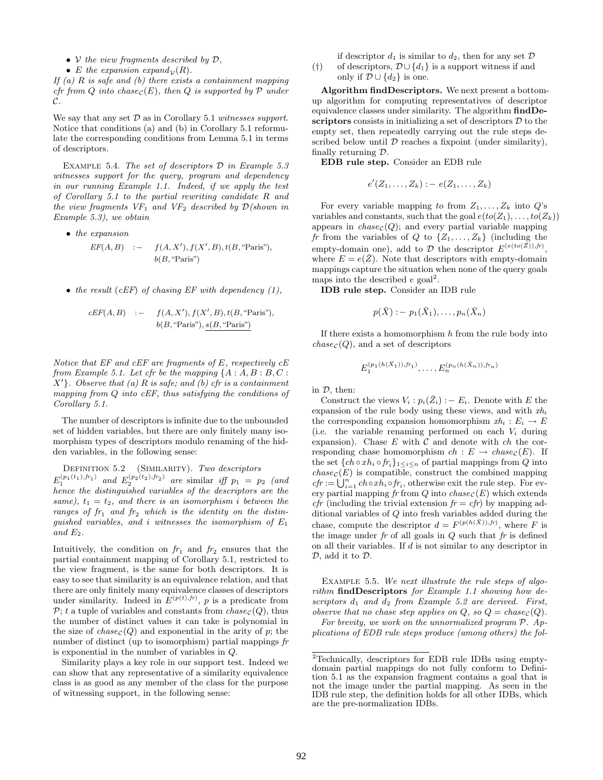- $V$  the view fragments described by  $D$ ,
- E the expansion expand<sub>1</sub>, $(R)$ .

If  $(a)$  R is safe and  $(b)$  there exists a containment mapping cfr from Q into chase $c(E)$ , then Q is supported by P under  $\mathcal{C}.$ 

We say that any set  $D$  as in Corollary 5.1 witnesses support. Notice that conditions (a) and (b) in Corollary 5.1 reformulate the corresponding conditions from Lemma 5.1 in terms of descriptors.

EXAMPLE 5.4. The set of descriptors  $D$  in Example 5.3 witnesses support for the query, program and dependency in our running Example 1.1. Indeed, if we apply the test of Corollary 5.1 to the partial rewriting candidate R and the view fragments  $VF_1$  and  $VF_2$  described by  $D(shown$  in Example 5.3), we obtain

- the expansion
	- $EF(A, B)$  :−  $), f(X', B), t(B, "Paris"),$  $b(B, "Paris")$
- the result (cEF) of chasing EF with dependency  $(1)$ ,

$$
cEF(A, B) \quad : - \quad f(A, X'), f(X', B), t(B, \text{``Paris''}),
$$

$$
b(B, \text{``Paris''}), s(B, \text{``Paris''})
$$

Notice that  $EF$  and  $cEF$  are fragments of  $E$ , respectively  $cE$ from Example 5.1. Let cfr be the mapping  $\{A : A, B : B, C : B\}$  $X'$ . Observe that (a) R is safe; and (b) cfr is a containment mapping from Q into cEF, thus satisfying the conditions of Corollary 5.1.

The number of descriptors is infinite due to the unbounded set of hidden variables, but there are only finitely many isomorphism types of descriptors modulo renaming of the hidden variables, in the following sense:

DEFINITION 5.2 (SIMILARITY). Two descriptors  $E_1^{(p_1(t_1),f_{r_1})}$  and  $E_2^{(p_2(t_2),f_{r_2})}$  are similar iff  $p_1 = p_2$  (and hence the distinguished variables of the descriptors are the same),  $t_1 = t_2$ , and there is an isomorphism i between the ranges of  $fr_1$  and  $fr_2$  which is the identity on the distinguished variables, and i witnesses the isomorphism of  $E_1$ and  $E_2$ .

Intuitively, the condition on  $fr_1$  and  $fr_2$  ensures that the partial containment mapping of Corollary 5.1, restricted to the view fragment, is the same for both descriptors. It is easy to see that similarity is an equivalence relation, and that there are only finitely many equivalence classes of descriptors under similarity. Indeed in  $E^{(p(t),f_r)}$ , p is a predicate from P; t a tuple of variables and constants from  $chase_{\mathcal{C}}(Q)$ , thus the number of distinct values it can take is polynomial in the size of  $chasec(Q)$  and exponential in the arity of p; the number of distinct (up to isomorphism) partial mappings fr is exponential in the number of variables in Q.

Similarity plays a key role in our support test. Indeed we can show that any representative of a similarity equivalence class is as good as any member of the class for the purpose of witnessing support, in the following sense:

(†) if descriptor  $d_1$  is similar to  $d_2$ , then for any set  $\mathcal D$ of descriptors,  $\mathcal{D} \cup \{d_1\}$  is a support witness if and only if  $\mathcal{D} \cup \{d_2\}$  is one.

Algorithm findDescriptors. We next present a bottomup algorithm for computing representatives of descriptor equivalence classes under similarity. The algorithm findDescriptors consists in initializing a set of descriptors  $\mathcal D$  to the empty set, then repeatedly carrying out the rule steps described below until  $D$  reaches a fixpoint (under similarity), finally returning D.

EDB rule step. Consider an EDB rule

$$
e'(Z_1,\ldots,Z_k):=e(Z_1,\ldots,Z_k)
$$

For every variable mapping to from  $Z_1, \ldots, Z_k$  into  $Q$ 's variables and constants, such that the goal  $e(to(Z_1), \ldots, to(Z_k))$ appears in  $chasec(Q)$ ; and every partial variable mapping fr from the variables of Q to  $\{Z_1, \ldots, Z_k\}$  (including the empty-domain one), add to  $\mathcal D$  the descriptor  $E^{(e(to(\bar Z)), fr)}$ , where  $E = e(\bar{Z})$ . Note that descriptors with empty-domain mappings capture the situation when none of the query goals maps into the described  $e$  goal<sup>2</sup>.

IDB rule step. Consider an IDB rule

$$
p(\bar{X}) := p_1(\bar{X}_1), \ldots, p_n(\bar{X}_n)
$$

If there exists a homomorphism  $h$  from the rule body into  $chase_{\mathcal{C}}(Q)$ , and a set of descriptors

$$
E_1^{(p_1(h(\bar{X}_1)), fr_1)}, \ldots, E_n^{(p_n(h(\bar{X}_n)), fr_n)}
$$

in D, then:

Construct the views  $V_i : p_i(\bar{Z}_i) : E_i$ . Denote with E the expansion of the rule body using these views, and with  $x h_i$ the corresponding expansion homomorphism  $x h_i : E_i \to E$ (i.e. the variable renaming performed on each  $V_i$  during expansion). Chase  $E$  with  $C$  and denote with ch the corresponding chase homomorphism  $ch : E \to \text{chase}_\mathcal{C}(E)$ . If the set  $\{ch \circ xh_i \circ fr_i\}_{1 \leq i \leq n}$  of partial mappings from Q into  $chasec(E)$  is compatible, construct the combined mapping  $cfr := \bigcup_{i=1}^{n'} ch \circ xh_i \circ fr_i$ , otherwise exit the rule step. For every partial mapping fr from Q into  $chase_{\mathcal{C}}(E)$  which extends *cfr* (including the trivial extension  $fr = cfr$ ) by mapping additional variables of Q into fresh variables added during the chase, compute the descriptor  $d = F^{(p(h(\bar{X})), fr)}$ , where F is the image under  $fr$  of all goals in  $Q$  such that  $fr$  is defined on all their variables. If d is not similar to any descriptor in D, add it to D.

EXAMPLE 5.5. We next illustrate the rule steps of algorithm findDescriptors for Example 1.1 showing how descriptors  $d_1$  and  $d_2$  from Example 5.2 are derived. First, observe that no chase step applies on Q, so  $Q = \text{chase}_\mathcal{C}(Q)$ .

For brevity, we work on the unnormalized program  $P$ . Applications of EDB rule steps produce (among others) the fol-

<sup>2</sup>Technically, descriptors for EDB rule IDBs using emptydomain partial mappings do not fully conform to Definition 5.1 as the expansion fragment contains a goal that is not the image under the partial mapping. As seen in the IDB rule step, the definition holds for all other IDBs, which are the pre-normalization IDBs.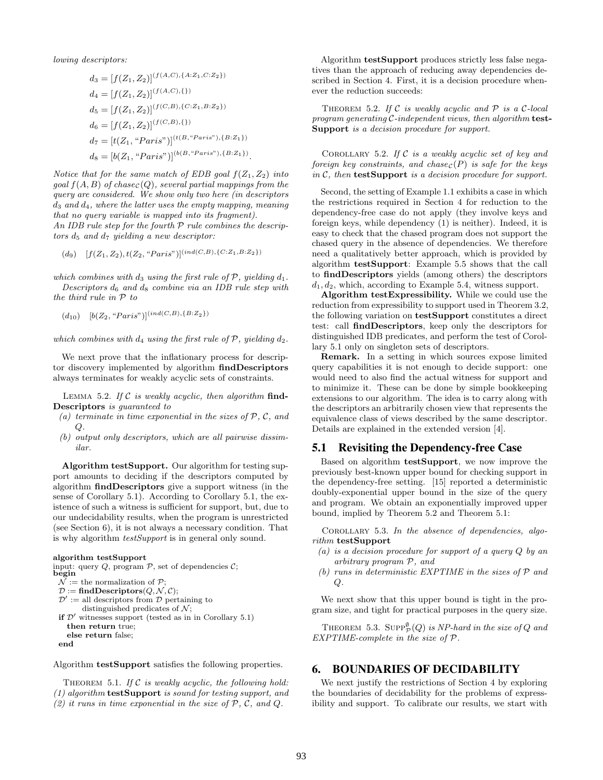lowing descriptors:

$$
d_3 = [f(Z_1, Z_2)]^{(f(A, C), \{A:Z_1, C:Z_2\})}
$$
  
\n
$$
d_4 = [f(Z_1, Z_2)]^{(f(A, C), \{\})}
$$
  
\n
$$
d_5 = [f(Z_1, Z_2)]^{(f(C, B), \{C:Z_1, B:Z_2\})}
$$
  
\n
$$
d_6 = [f(Z_1, Z_2)]^{(f(C, B), \{\})}
$$
  
\n
$$
d_7 = [t(Z_1, "Paris"]^{(t(B, "Paris"); \{B:Z_1\})}]
$$
  
\n
$$
d_8 = [b(Z_1, "Paris"]^{(b(B, "Paris"); \{B:Z_1\})}]
$$

Notice that for the same match of EDB goal  $f(Z_1, Z_2)$  into  $goal f(A, B)$  of chase $c(Q)$ , several partial mappings from the query are considered. We show only two here (in descriptors  $d_3$  and  $d_4$ , where the latter uses the empty mapping, meaning that no query variable is mapped into its fragment). An IDB rule step for the fourth  $P$  rule combines the descrip-

.

tors  $d_5$  and  $d_7$  yielding a new descriptor:

$$
(d_9) \quad [f(Z_1, Z_2), t(Z_2, "Paris"]^{(ind(C, B), \{C:Z_1, B:Z_2\})}
$$

which combines with  $d_3$  using the first rule of  $P$ , yielding  $d_1$ . Descriptors  $d_6$  and  $d_8$  combine via an IDB rule step with the third rule in P to

 $(d_{10}) \quad [b(Z_2, "Paris")]^{(ind(C,B),\{B:Z_2\})}$ 

which combines with  $d_4$  using the first rule of  $P$ , yielding  $d_2$ .

We next prove that the inflationary process for descriptor discovery implemented by algorithm findDescriptors always terminates for weakly acyclic sets of constraints.

LEMMA 5.2. If  $C$  is weakly acyclic, then algorithm find-Descriptors is guaranteed to

- (a) terminate in time exponential in the sizes of  $P$ ,  $C$ , and  $Q$ .
- (b) output only descriptors, which are all pairwise dissimilar.

Algorithm testSupport. Our algorithm for testing support amounts to deciding if the descriptors computed by algorithm findDescriptors give a support witness (in the sense of Corollary 5.1). According to Corollary 5.1, the existence of such a witness is sufficient for support, but, due to our undecidability results, when the program is unrestricted (see Section 6), it is not always a necessary condition. That is why algorithm testSupport is in general only sound.

#### algorithm testSupport

```
input: query Q, program P, set of dependencies C;
begin
 \mathcal{N} := the normalization of \mathcal{P}\mathcal{D} := \mathbf{findDescriptions}(Q, \mathcal{N}, \mathcal{C});\mathcal{D}' := all descriptors from \mathcal{D} pertaining to
          distinguished predicates of \mathcal{N};
  if \mathcal{D}' witnesses support (tested as in in Corollary 5.1)
     then return true;
     else return false;
  end
```
Algorithm testSupport satisfies the following properties.

THEOREM 5.1. If  $C$  is weakly acyclic, the following hold:  $(1)$  algorithm **testSupport** is sound for testing support, and (2) it runs in time exponential in the size of  $P$ ,  $C$ , and  $Q$ .

Algorithm testSupport produces strictly less false negatives than the approach of reducing away dependencies described in Section 4. First, it is a decision procedure whenever the reduction succeeds:

THEOREM 5.2. If  $C$  is weakly acyclic and  $P$  is a  $C$ -local program generating C-independent views, then algorithm test-Support is a decision procedure for support.

COROLLARY 5.2. If  $C$  is a weakly acyclic set of key and foreign key constraints, and chase  $c(P)$  is safe for the keys in  $C$ , then **testSupport** is a decision procedure for support.

Second, the setting of Example 1.1 exhibits a case in which the restrictions required in Section 4 for reduction to the dependency-free case do not apply (they involve keys and foreign keys, while dependency (1) is neither). Indeed, it is easy to check that the chased program does not support the chased query in the absence of dependencies. We therefore need a qualitatively better approach, which is provided by algorithm testSupport: Example 5.5 shows that the call to findDescriptors yields (among others) the descriptors  $d_1, d_2$ , which, according to Example 5.4, witness support.

Algorithm testExpressibility. While we could use the reduction from expressibility to support used in Theorem 3.2, the following variation on testSupport constitutes a direct test: call findDescriptors, keep only the descriptors for distinguished IDB predicates, and perform the test of Corollary 5.1 only on singleton sets of descriptors.

Remark. In a setting in which sources expose limited query capabilities it is not enough to decide support: one would need to also find the actual witness for support and to minimize it. These can be done by simple bookkeeping extensions to our algorithm. The idea is to carry along with the descriptors an arbitrarily chosen view that represents the equivalence class of views described by the same descriptor. Details are explained in the extended version [4].

#### 5.1 Revisiting the Dependency-free Case

Based on algorithm testSupport, we now improve the previously best-known upper bound for checking support in the dependency-free setting. [15] reported a deterministic doubly-exponential upper bound in the size of the query and program. We obtain an exponentially improved upper bound, implied by Theorem 5.2 and Theorem 5.1:

COROLLARY 5.3. In the absence of dependencies, algorithm testSupport

- (a) is a decision procedure for support of a query Q by an arbitrary program P, and
- (b) runs in deterministic EXPTIME in the sizes of  $P$  and  $Q$ .

We next show that this upper bound is tight in the program size, and tight for practical purposes in the query size.

THEOREM 5.3. SUPP $_{\mathcal{P}}^{\emptyset}(Q)$  is NP-hard in the size of Q and EXPTIME-complete in the size of P.

#### 6. BOUNDARIES OF DECIDABILITY

We next justify the restrictions of Section 4 by exploring the boundaries of decidability for the problems of expressibility and support. To calibrate our results, we start with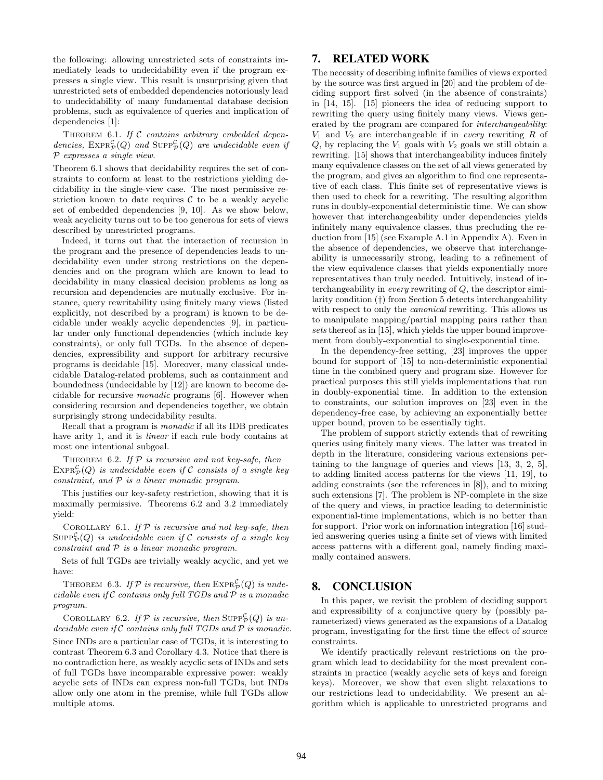the following: allowing unrestricted sets of constraints immediately leads to undecidability even if the program expresses a single view. This result is unsurprising given that unrestricted sets of embedded dependencies notoriously lead to undecidability of many fundamental database decision problems, such as equivalence of queries and implication of dependencies [1]:

THEOREM  $6.1.$  If  $C$  contains arbitrary embedded dependencies,  $\text{EXPR}_{\mathcal{P}}^{\mathcal{C}}(Q)$  and  $\text{Supp}_{\mathcal{P}}^{\mathcal{C}}(Q)$  are undecidable even if P expresses a single view.

Theorem 6.1 shows that decidability requires the set of constraints to conform at least to the restrictions yielding decidability in the single-view case. The most permissive restriction known to date requires  $C$  to be a weakly acyclic set of embedded dependencies [9, 10]. As we show below, weak acyclicity turns out to be too generous for sets of views described by unrestricted programs.

Indeed, it turns out that the interaction of recursion in the program and the presence of dependencies leads to undecidability even under strong restrictions on the dependencies and on the program which are known to lead to decidability in many classical decision problems as long as recursion and dependencies are mutually exclusive. For instance, query rewritability using finitely many views (listed explicitly, not described by a program) is known to be decidable under weakly acyclic dependencies [9], in particular under only functional dependencies (which include key constraints), or only full TGDs. In the absence of dependencies, expressibility and support for arbitrary recursive programs is decidable [15]. Moreover, many classical undecidable Datalog-related problems, such as containment and boundedness (undecidable by [12]) are known to become decidable for recursive monadic programs [6]. However when considering recursion and dependencies together, we obtain surprisingly strong undecidability results.

Recall that a program is monadic if all its IDB predicates have arity 1, and it is *linear* if each rule body contains at most one intentional subgoal.

THEOREM 6.2. If  $P$  is recursive and not key-safe, then  $\text{EXPR}_{\mathcal{P}}^{\mathcal{C}}(Q)$  is undecidable even if C consists of a single key constraint, and  $P$  is a linear monadic program.

This justifies our key-safety restriction, showing that it is maximally permissive. Theorems 6.2 and 3.2 immediately yield:

COROLLARY 6.1. If  $P$  is recursive and not key-safe, then  $\text{Supp}^{\mathcal{C}}_{\mathcal{P}}(Q)$  is undecidable even if C consists of a single key constraint and P is a linear monadic program.

Sets of full TGDs are trivially weakly acyclic, and yet we have:

THEOREM 6.3. If P is recursive, then  $\text{EXPR}_{\mathcal{P}}^{\mathcal{C}}(Q)$  is undecidable even if  $\mathcal C$  contains only full TGDs and  $\mathcal P$  is a monadic program.

COROLLARY 6.2. If  $P$  is recursive, then SUPP $^{\mathcal{C}}_{\mathcal{P}}(Q)$  is undecidable even if  $\mathcal C$  contains only full TGDs and  $\mathcal P$  is monadic.

Since INDs are a particular case of TGDs, it is interesting to contrast Theorem 6.3 and Corollary 4.3. Notice that there is no contradiction here, as weakly acyclic sets of INDs and sets of full TGDs have incomparable expressive power: weakly acyclic sets of INDs can express non-full TGDs, but INDs allow only one atom in the premise, while full TGDs allow multiple atoms.

## 7. RELATED WORK

The necessity of describing infinite families of views exported by the source was first argued in [20] and the problem of deciding support first solved (in the absence of constraints) in [14, 15]. [15] pioneers the idea of reducing support to rewriting the query using finitely many views. Views generated by the program are compared for interchangeability:  $V_1$  and  $V_2$  are interchangeable if in *every* rewriting R of  $Q$ , by replacing the  $V_1$  goals with  $V_2$  goals we still obtain a rewriting. [15] shows that interchangeability induces finitely many equivalence classes on the set of all views generated by the program, and gives an algorithm to find one representative of each class. This finite set of representative views is then used to check for a rewriting. The resulting algorithm runs in doubly-exponential deterministic time. We can show however that interchangeability under dependencies yields infinitely many equivalence classes, thus precluding the reduction from [15] (see Example A.1 in Appendix A). Even in the absence of dependencies, we observe that interchangeability is unnecessarily strong, leading to a refinement of the view equivalence classes that yields exponentially more representatives than truly needed. Intuitively, instead of interchangeability in *every* rewriting of  $Q$ , the descriptor similarity condition (†) from Section 5 detects interchangeability with respect to only the *canonical* rewriting. This allows us to manipulate mapping/partial mapping pairs rather than sets thereof as in [15], which yields the upper bound improvement from doubly-exponential to single-exponential time.

In the dependency-free setting, [23] improves the upper bound for support of [15] to non-deterministic exponential time in the combined query and program size. However for practical purposes this still yields implementations that run in doubly-exponential time. In addition to the extension to constraints, our solution improves on [23] even in the dependency-free case, by achieving an exponentially better upper bound, proven to be essentially tight.

The problem of support strictly extends that of rewriting queries using finitely many views. The latter was treated in depth in the literature, considering various extensions pertaining to the language of queries and views [13, 3, 2, 5], to adding limited access patterns for the views [11, 19], to adding constraints (see the references in [8]), and to mixing such extensions [7]. The problem is NP-complete in the size of the query and views, in practice leading to deterministic exponential-time implementations, which is no better than for support. Prior work on information integration [16] studied answering queries using a finite set of views with limited access patterns with a different goal, namely finding maximally contained answers.

#### 8. CONCLUSION

In this paper, we revisit the problem of deciding support and expressibility of a conjunctive query by (possibly parameterized) views generated as the expansions of a Datalog program, investigating for the first time the effect of source constraints.

We identify practically relevant restrictions on the program which lead to decidability for the most prevalent constraints in practice (weakly acyclic sets of keys and foreign keys). Moreover, we show that even slight relaxations to our restrictions lead to undecidability. We present an algorithm which is applicable to unrestricted programs and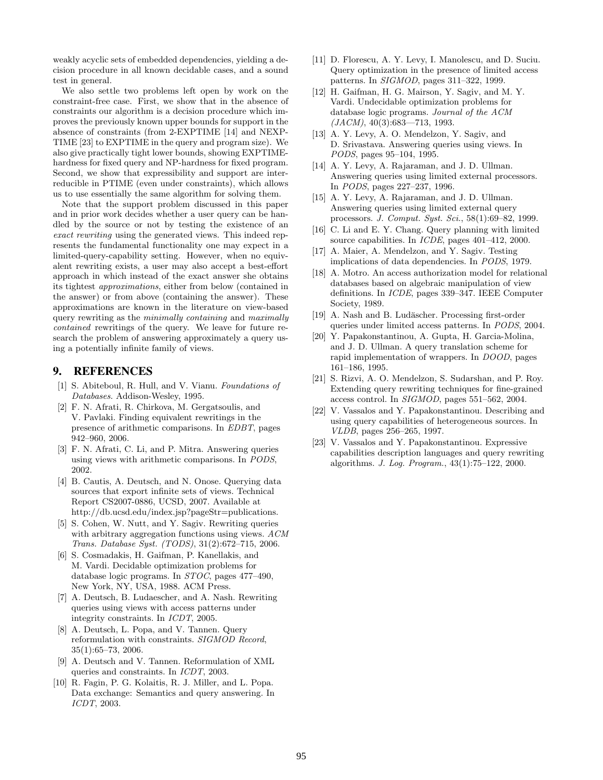weakly acyclic sets of embedded dependencies, yielding a decision procedure in all known decidable cases, and a sound test in general.

We also settle two problems left open by work on the constraint-free case. First, we show that in the absence of constraints our algorithm is a decision procedure which improves the previously known upper bounds for support in the absence of constraints (from 2-EXPTIME [14] and NEXP-TIME [23] to EXPTIME in the query and program size). We also give practically tight lower bounds, showing EXPTIMEhardness for fixed query and NP-hardness for fixed program. Second, we show that expressibility and support are interreducible in PTIME (even under constraints), which allows us to use essentially the same algorithm for solving them.

Note that the support problem discussed in this paper and in prior work decides whether a user query can be handled by the source or not by testing the existence of an exact rewriting using the generated views. This indeed represents the fundamental functionality one may expect in a limited-query-capability setting. However, when no equivalent rewriting exists, a user may also accept a best-effort approach in which instead of the exact answer she obtains its tightest approximations, either from below (contained in the answer) or from above (containing the answer). These approximations are known in the literature on view-based query rewriting as the minimally containing and maximally contained rewritings of the query. We leave for future research the problem of answering approximately a query using a potentially infinite family of views.

### 9. REFERENCES

- [1] S. Abiteboul, R. Hull, and V. Vianu. Foundations of Databases. Addison-Wesley, 1995.
- [2] F. N. Afrati, R. Chirkova, M. Gergatsoulis, and V. Pavlaki. Finding equivalent rewritings in the presence of arithmetic comparisons. In EDBT, pages 942–960, 2006.
- [3] F. N. Afrati, C. Li, and P. Mitra. Answering queries using views with arithmetic comparisons. In PODS, 2002.
- [4] B. Cautis, A. Deutsch, and N. Onose. Querying data sources that export infinite sets of views. Technical Report CS2007-0886, UCSD, 2007. Available at http://db.ucsd.edu/index.jsp?pageStr=publications.
- [5] S. Cohen, W. Nutt, and Y. Sagiv. Rewriting queries with arbitrary aggregation functions using views. ACM Trans. Database Syst. (TODS), 31(2):672–715, 2006.
- [6] S. Cosmadakis, H. Gaifman, P. Kanellakis, and M. Vardi. Decidable optimization problems for database logic programs. In STOC, pages 477–490, New York, NY, USA, 1988. ACM Press.
- [7] A. Deutsch, B. Ludaescher, and A. Nash. Rewriting queries using views with access patterns under integrity constraints. In ICDT, 2005.
- [8] A. Deutsch, L. Popa, and V. Tannen. Query reformulation with constraints. SIGMOD Record, 35(1):65–73, 2006.
- [9] A. Deutsch and V. Tannen. Reformulation of XML queries and constraints. In ICDT, 2003.
- [10] R. Fagin, P. G. Kolaitis, R. J. Miller, and L. Popa. Data exchange: Semantics and query answering. In ICDT, 2003.
- [11] D. Florescu, A. Y. Levy, I. Manolescu, and D. Suciu. Query optimization in the presence of limited access patterns. In SIGMOD, pages 311–322, 1999.
- [12] H. Gaifman, H. G. Mairson, Y. Sagiv, and M. Y. Vardi. Undecidable optimization problems for database logic programs. Journal of the ACM  $(JACM)$ , 40(3):683—713, 1993.
- [13] A. Y. Levy, A. O. Mendelzon, Y. Sagiv, and D. Srivastava. Answering queries using views. In PODS, pages 95–104, 1995.
- [14] A. Y. Levy, A. Rajaraman, and J. D. Ullman. Answering queries using limited external processors. In PODS, pages 227–237, 1996.
- [15] A. Y. Levy, A. Rajaraman, and J. D. Ullman. Answering queries using limited external query processors. J. Comput. Syst. Sci., 58(1):69–82, 1999.
- [16] C. Li and E. Y. Chang. Query planning with limited source capabilities. In ICDE, pages 401–412, 2000.
- [17] A. Maier, A. Mendelzon, and Y. Sagiv. Testing implications of data dependencies. In PODS, 1979.
- [18] A. Motro. An access authorization model for relational databases based on algebraic manipulation of view definitions. In ICDE, pages 339–347. IEEE Computer Society, 1989.
- [19] A. Nash and B. Ludäscher. Processing first-order queries under limited access patterns. In PODS, 2004.
- [20] Y. Papakonstantinou, A. Gupta, H. Garcia-Molina, and J. D. Ullman. A query translation scheme for rapid implementation of wrappers. In DOOD, pages 161–186, 1995.
- [21] S. Rizvi, A. O. Mendelzon, S. Sudarshan, and P. Roy. Extending query rewriting techniques for fine-grained access control. In SIGMOD, pages 551–562, 2004.
- [22] V. Vassalos and Y. Papakonstantinou. Describing and using query capabilities of heterogeneous sources. In VLDB, pages 256–265, 1997.
- [23] V. Vassalos and Y. Papakonstantinou. Expressive capabilities description languages and query rewriting algorithms. J. Log. Program., 43(1):75–122, 2000.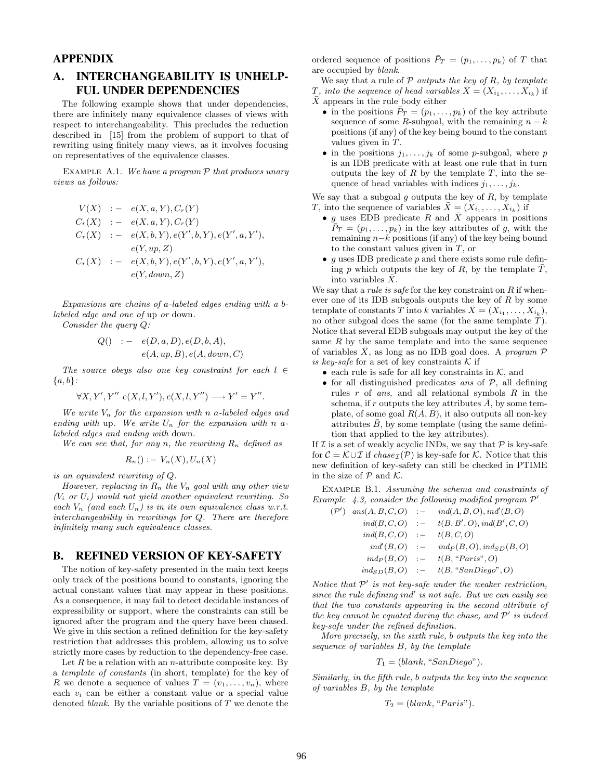# APPENDIX

# A. INTERCHANGEABILITY IS UNHELP-FUL UNDER DEPENDENCIES

The following example shows that under dependencies, there are infinitely many equivalence classes of views with respect to interchangeability. This precludes the reduction described in [15] from the problem of support to that of rewriting using finitely many views, as it involves focusing on representatives of the equivalence classes.

EXAMPLE A.1. We have a program  $P$  that produces unary views as follows:

$$
V(X) := e(X, a, Y), C_r(Y)
$$
  
\n
$$
C_r(X) := e(X, a, Y), C_r(Y)
$$
  
\n
$$
C_r(X) := e(X, b, Y), e(Y', b, Y), e(Y', a, Y'),
$$
  
\n
$$
e(Y, up, Z)
$$
  
\n
$$
C_r(X) := e(X, b, Y), e(Y', b, Y), e(Y', a, Y'),
$$
  
\n
$$
e(Y, down, Z)
$$

Expansions are chains of a-labeled edges ending with a blabeled edge and one of up or down.

Consider the query Q:

$$
Q() \quad := \quad e(D, a, D), e(D, b, A),
$$

$$
e(A, up, B), e(A, down, C)
$$

The source obeys also one key constraint for each  $l \in$  ${a,b}$ :

$$
\forall X, Y', Y'' \ e(X, l, Y'), e(X, l, Y'') \longrightarrow Y' = Y''.
$$

We write  $V_n$  for the expansion with n a-labeled edges and ending with up. We write  $U_n$  for the expansion with n alabeled edges and ending with down.

We can see that, for any n, the rewriting  $R_n$  defined as

$$
R_n():-V_n(X),U_n(X)
$$

is an equivalent rewriting of Q.

However, replacing in  $R_n$  the  $V_n$  goal with any other view  $(V_i \text{ or } U_i)$  would not yield another equivalent rewriting. So each  $V_n$  (and each  $U_n$ ) is in its own equivalence class w.r.t. interchangeability in rewritings for Q. There are therefore infinitely many such equivalence classes.

#### B. REFINED VERSION OF KEY-SAFETY

The notion of key-safety presented in the main text keeps only track of the positions bound to constants, ignoring the actual constant values that may appear in these positions. As a consequence, it may fail to detect decidable instances of expressibility or support, where the constraints can still be ignored after the program and the query have been chased. We give in this section a refined definition for the key-safety restriction that addresses this problem, allowing us to solve strictly more cases by reduction to the dependency-free case.

Let  $R$  be a relation with an *n*-attribute composite key. By a template of constants (in short, template) for the key of R we denote a sequence of values  $T = (v_1, \ldots, v_n)$ , where each  $v_i$  can be either a constant value or a special value denoted *blank*. By the variable positions of  $T$  we denote the

ordered sequence of positions  $\bar{P}_T = (p_1, \ldots, p_k)$  of T that are occupied by blank.

We say that a rule of  $P$  *outputs the key of R, by template* T, into the sequence of head variables  $\bar{X} = (X_{i_1}, \ldots, X_{i_k})$  if  $\bar{X}$  appears in the rule body either

- in the positions  $\bar{P}_T = (p_1, \ldots, p_k)$  of the key attribute sequence of some R-subgoal, with the remaining  $n - k$ positions (if any) of the key being bound to the constant values given in T.
- in the positions  $j_1, \ldots, j_k$  of some p-subgoal, where p is an IDB predicate with at least one rule that in turn outputs the key of  $R$  by the template  $T$ , into the sequence of head variables with indices  $j_1, \ldots, j_k$ .

We say that a subgoal  $q$  outputs the key of  $R$ , by template *T*, into the sequence of variables  $\bar{X} = (\bar{X}_{i_1}, \ldots, \bar{X}_{i_k})$  if

- g uses EDB predicate R and  $\overline{X}$  appears in positions  $P_T = (p_1, \ldots, p_k)$  in the key attributes of g, with the remaining n−k positions (if any) of the key being bound to the constant values given in T, or
- $g$  uses IDB predicate  $p$  and there exists some rule defining p which outputs the key of R, by the template  $\overline{T}$ , into variables  $X$ .

We say that a *rule is safe* for the key constraint on  $R$  if whenever one of its IDB subgoals outputs the key of  $R$  by some template of constants T into k variables  $\bar{X} = (X_{i_1}, \ldots, X_{i_k}),$ no other subgoal does the same (for the same template T). Notice that several EDB subgoals may output the key of the same  $R$  by the same template and into the same sequence of variables  $\bar{X}$ , as long as no IDB goal does. A program  $\mathcal P$ is key-safe for a set of key constraints  $K$  if

- each rule is safe for all key constraints in  $K$ , and
- for all distinguished predicates ans of  $P$ , all defining rules r of ans, and all relational symbols  $R$  in the schema, if r outputs the key attributes  $\overline{A}$ , by some template, of some goal  $R(\overline{A}, \overline{B})$ , it also outputs all non-key attributes  $\bar{B}$ , by some template (using the same definition that applied to the key attributes).

If  $\mathcal I$  is a set of weakly acyclic INDs, we say that  $\mathcal P$  is key-safe for  $\mathcal{C} = \mathcal{K} \cup \mathcal{I}$  if chase  $\tau(\mathcal{P})$  is key-safe for K. Notice that this new definition of key-safety can still be checked in PTIME in the size of  $P$  and  $K$ .

Example B.1. Assuming the schema and constraints of Example 4.3, consider the following modified program  $\mathcal{P}'$ 

$$
(P') \quad \text{ans}(A, B, C, O) \quad := \quad \text{ind}(A, B, O), \text{ind}(B, O) \n \quad \text{ind}(B, C, O) \quad := \quad t(B, B', O), \text{ind}(B', C, O) \n \quad \text{ind}(B, C, O) \quad := \quad t(B, C, O) \n \quad \text{ind}(B, O) \quad := \quad \text{ind}_P(B, O), \text{ind}_{SD}(B, O) \n \quad \text{ind}_P(B, O) \quad := \quad t(B, \text{``Paris''}, O) \n \quad \text{ind}_{SD}(B, O) \quad := \quad t(B, \text{``San Diego''}, O)
$$

Notice that  $\mathcal{P}'$  is not key-safe under the weaker restriction, since the rule defining  $ind'$  is not safe. But we can easily see that the two constants appearing in the second attribute of the key cannot be equated during the chase, and  $P'$  is indeed key-safe under the refined definition.

More precisely, in the sixth rule, b outputs the key into the sequence of variables B, by the template

$$
T_1 = (blank, "San Diego").
$$

Similarly, in the fifth rule, b outputs the key into the sequence of variables B, by the template

$$
T_2 = (blank, "Paris").
$$